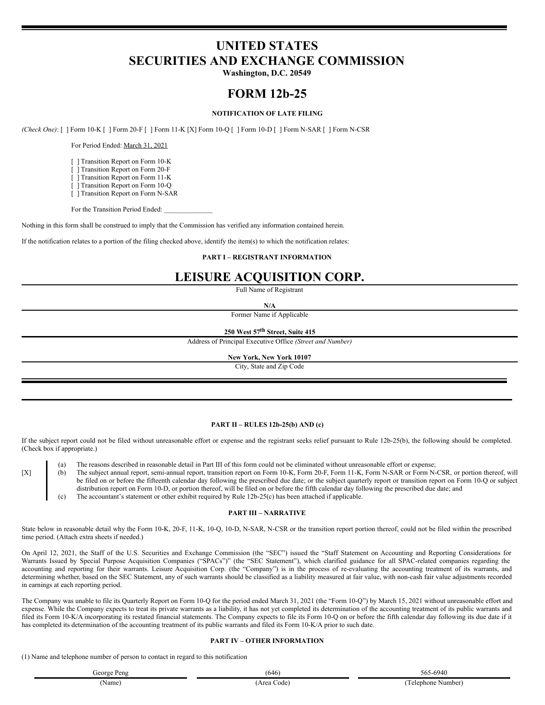# **UNITED STATES SECURITIES AND EXCHANGE COMMISSION**

**Washington, D.C. 20549**

# **FORM 12b-25**

## **NOTIFICATION OF LATE FILING**

*(Check One)*: [ ] Form 10-K [ ] Form 20-F [ ] Form 11-K [X] Form 10-Q [ ] Form 10-D [ ] Form N-SAR [ ] Form N-CSR

For Period Ended: March 31, 2021

- [ ] Transition Report on Form 10-K
- [ ] Transition Report on Form 20-F
- [ ] Transition Report on Form 11-K
- [ ] Transition Report on Form 10-Q [ ] Transition Report on Form N-SAR

For the Transition Period Ended:

Nothing in this form shall be construed to imply that the Commission has verified any information contained herein.

If the notification relates to a portion of the filing checked above, identify the item(s) to which the notification relates:

### **PART I – REGISTRANT INFORMATION**

# **LEISURE ACQUISITION CORP.**

Full Name of Registrant

**N/A**

Former Name if Applicable

**250 West 57 th Street, Suite 415**

Address of Principal Executive Office *(Street and Number)*

## **New York, New York 10107**

City, State and Zip Code

#### **PART II – RULES 12b-25(b) AND (c)**

If the subject report could not be filed without unreasonable effort or expense and the registrant seeks relief pursuant to Rule 12b-25(b), the following should be completed. (Check box if appropriate.)

(a) The reasons described in reasonable detail in Part III of this form could not be eliminated without unreasonable effort or expense;

- [X] (b) The subject annual report, semi-annual report, transition report on Form 10-K, Form 20-F, Form 11-K, Form N-SAR or Form N-CSR, or portion thereof, will be filed on or before the fifteenth calendar day following the prescribed due date; or the subject quarterly report or transition report on Form 10-Q or subject distribution report on Form 10-D, or portion thereof, will be filed on or before the fifth calendar day following the prescribed due date; and
	- (c) The accountant's statement or other exhibit required by Rule 12b-25(c) has been attached if applicable.

### **PART III – NARRATIVE**

State below in reasonable detail why the Form 10-K, 20-F, 11-K, 10-Q, 10-D, N-SAR, N-CSR or the transition report portion thereof, could not be filed within the prescribed time period. (Attach extra sheets if needed.)

On April 12, 2021, the Staff of the U.S. Securities and Exchange Commission (the "SEC") issued the "Staff Statement on Accounting and Reporting Considerations for Warrants Issued by Special Purpose Acquisition Companies ("SPACs")" (the "SEC Statement"), which clarified guidance for all SPAC-related companies regarding the accounting and reporting for their warrants. Leisure Acquisition Corp. (the "Company") is in the process of re-evaluating the accounting treatment of its warrants, and determining whether, based on the SEC Statement, any of such warrants should be classified as a liability measured at fair value, with non-cash fair value adjustments recorded in earnings at each reporting period.

The Company was unable to file its Quarterly Report on Form 10-Q for the period ended March 31, 2021 (the "Form 10-Q") by March 15, 2021 without unreasonable effort and expense. While the Company expects to treat its private warrants as a liability, it has not yet completed its determination of the accounting treatment of its public warrants and filed its Form 10-K/A incorporating its restated financial statements. The Company expects to file its Form 10-Q on or before the fifth calendar day following its due date if it has completed its determination of the accounting treatment of its public warrants and filed its Form 10-K/A prior to such date.

### **PART IV – OTHER INFORMATION**

(1) Name and telephone number of person to contact in regard to this notification

| George Peng | (646       | 565-6940           |
|-------------|------------|--------------------|
| (Name)      | Area Code) | (Telephone Number) |